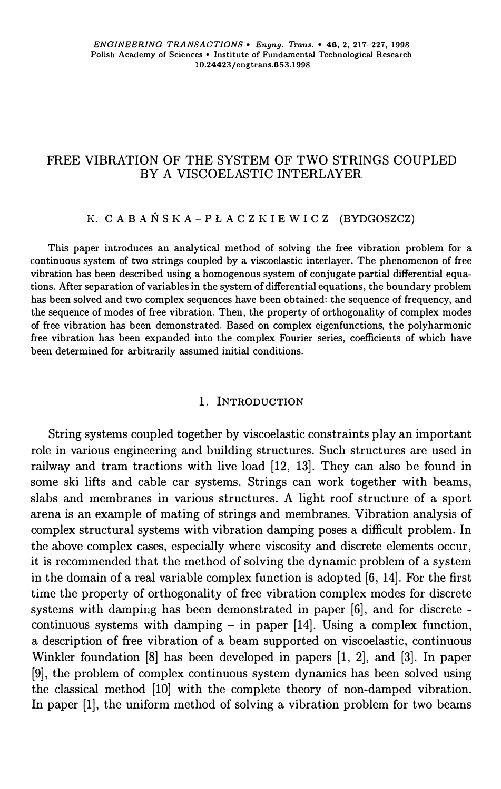## FREE VIBRATION OF THE SYSTEM OF TWO STRINGS COUPLED BY A VISCOELASTIC INTERLAYER

# **K. C A B A Ń S** *K* **A - P Ł A C Z** *K* **I E W I C Z (BYDGOSZCZ)**

**This paper introduces an analytical method of solving the free vibration problem for a continuous system of two strings coupled by a viscoelastic interlayer. The phenomenon of free**  vibration has been described using a homogenous system of conjugate partial differential equa**tions. After separation of variables in the system of differentia! equations, the boundary problem has been solved and two complex sequences have been obtained: the sequence of frequency, and the sequence of modes of free vibration. Then, the property of orthogonality of complex modes of free vibration has been demonstrated. Based on complex eigenfunctions, the polyharmonic free vibration has been expanded into the complex Fourier series, coefficients of which have been determined for arbitrarily assumed initial conditions.** 

### **1. INTRODUCTION**

String systems coupled together by viscoelastic constraints play an important role in various engineering and building structures. Such structures are used in railway and tram tractions with live load [12, 13). They can also be found in some ski lifts and cable car systems. Strings can work together with beams, slabs and membranes in various structures. A light roof structure of a sport arena is an example of mating of strings and membranes. Vibration analysis of complex structural systems with vibration damping poses a difficult problem. In the above complex cases, especially where viscosity and discrete elements occur, it is recommended that the method of solving the dynamie problem of a system in the domain of a real variable complex function is adopted [6, 14). For the first time the property of orthogonality of free vibration complex modes for discrete systems with damping has been demonstrated in paper [6), and for discrete continuous systems with damping - in paper [14]. Using a complex function, a description of free vibration of a beam supported on viscoelastic, continuous Winkler foundation [8) has been developed in papers [l, 2), and [3). In paper [9], the problem of complex continuous system dynamics has been solved using the classical method [10) with the complete theory of non-damped vibration. In paper [1], the uniform method of solving a vibration problem for two beams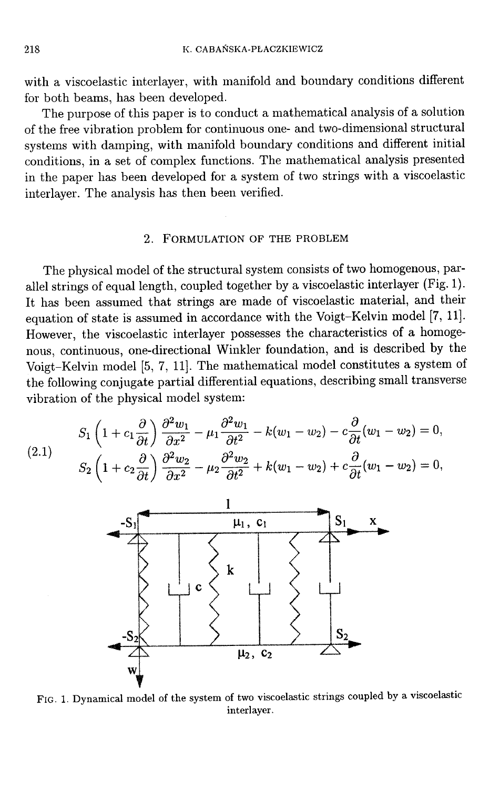with a viscoelastic interlayer, with manifold and boundary conditions different for both beams, has been developed.

The purpose of this paper is to conduct a mathematical analysis of a solution of the free vibration problem for continuous one- and two-dimensional structural systems with damping, with manifold boundary conditions and different initial conditions, in a set of complex functions. The mathematical analysis presented in the paper has been developed for a system of two strings with a viscoelastic interlayer. The analysis has then been verified.

#### 2. FORMULATION OF THE PROBLEM

The physical model of the structural system consists of two homogenous, parallel strings of equal length, coupled together by a viscoelastic interlayer (Fig. 1). It has been assumed that strings are made of viscoelastic material, and their equation of state is assumed in accordance with the Voigt-Kelvin model [7, 11]. However, the viscoelastic interlayer possesses the characteristics of a homogenous, continuous, one-directional Winkler foundation, and is described by the Voigt-Kelvin model [5, 7, 11]. The mathematical model constitutes a system of the following conjugate partial differential equations, describing small transverse vibration of the physical model system:

(2.1) 
$$
S_1 \left( 1 + c_1 \frac{\partial}{\partial t} \right) \frac{\partial^2 w_1}{\partial x^2} - \mu_1 \frac{\partial^2 w_1}{\partial t^2} - k(w_1 - w_2) - c \frac{\partial}{\partial t} (w_1 - w_2) = 0,
$$
  

$$
S_2 \left( 1 + c_2 \frac{\partial}{\partial t} \right) \frac{\partial^2 w_2}{\partial x^2} - \mu_2 \frac{\partial^2 w_2}{\partial t^2} + k(w_1 - w_2) + c \frac{\partial}{\partial t} (w_1 - w_2) = 0,
$$



FIG. 1. Dynamical model of the system of two viscoelastic strings coupled by a viscoelastic interlayer.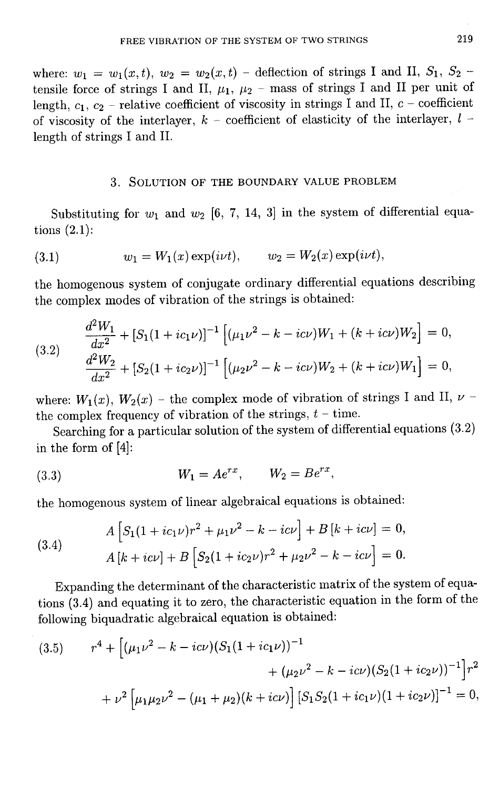where:  $w_1 = w_1(x, t)$ ,  $w_2 = w_2(x, t)$  - deflection of strings I and II,  $S_1$ ,  $S_2$  tensile force of strings I and II,  $\mu_1$ ,  $\mu_2$  - mass of strings I and II per unit of length,  $c_1$ ,  $c_2$  - relative coefficient of viscosity in strings I and II,  $c$  - coefficient of viscosity of the interlayer,  $k$  – coefficient of elasticity of the interlayer,  $l$  – length of strings I and II.

### 3. SOLUTION OF THE BOUNDARY VALUE PROBLEM

Substituting for  $w_1$  and  $w_2$  [6, 7, 14, 3] in the system of differential equations  $(2.1)$ :

(3.1) 
$$
w_1 = W_1(x) \exp(i\nu t), \qquad w_2 = W_2(x) \exp(i\nu t),
$$

the homogenous system of conjugate ordinary differential equations describing the complex modes of vibration of the strings is obtained:

(3.2) 
$$
\frac{d^2W_1}{dx^2} + [S_1(1 + ic_1\nu)]^{-1} \left[ (\mu_1\nu^2 - k - ic\nu)W_1 + (k + ic\nu)W_2 \right] = 0,
$$

$$
\frac{d^2W_2}{dx^2} + [S_2(1 + ic_2\nu)]^{-1} \left[ (\mu_2\nu^2 - k - ic\nu)W_2 + (k + ic\nu)W_1 \right] = 0,
$$

where:  $W_1(x)$ ,  $W_2(x)$  – the complex mode of vibration of strings I and II,  $\nu$  – the complex frequency of vibration of the strings,  $t$  – time.

Searching for a particular solution of the system of differential equations (3.2) in the form of [4]:

(3.3) 
$$
W_1 = Ae^{rx}, \qquad W_2 = Be^{rx},
$$

the homogenous system of linear algebraical equations is obtained:

(3.4) 
$$
A\left[S_1(1+ic_1\nu)r^2+\mu_1\nu^2-k-ic\nu\right]+B\left[k+ic\nu\right]=0,
$$

$$
A\left[k+ic\nu\right]+B\left[S_2(1+ic_2\nu)r^2+\mu_2\nu^2-k-ic\nu\right]=0.
$$

Expanding the determinant of the characteristic matrix of the system of equations (3.4) and equating it to zero, the characteristic equation in the form of the following biquadratic algebraical equation is obtained:

(3.5) 
$$
r^{4} + \left[ (\mu_{1} \nu^{2} - k - i c \nu)(S_{1}(1 + i c_{1} \nu))^{-1} + (\mu_{2} \nu^{2} - k - i c \nu)(S_{2}(1 + i c_{2} \nu))^{-1} \right] r^{2} + \nu^{2} \left[ \mu_{1} \mu_{2} \nu^{2} - (\mu_{1} + \mu_{2})(k + i c \nu) \right] \left[ S_{1} S_{2}(1 + i c_{1} \nu)(1 + i c_{2} \nu) \right]^{-1} = 0,
$$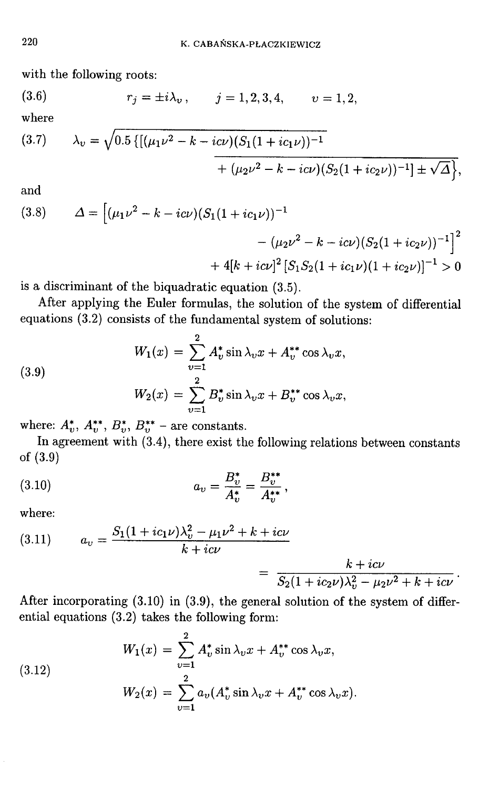with the following roots:

(3.6) 
$$
r_j = \pm i\lambda_v, \qquad j = 1, 2, 3, 4, \qquad v = 1, 2,
$$

where

$$
(3.7) \qquad \lambda_v = \sqrt{0.5 \left\{ \left[ (\mu_1 \nu^2 - k - i c \nu) (S_1 (1 + i c_1 \nu))^{-1} \right. \right.} + (\mu_2 \nu^2 - k - i c \nu) (S_2 (1 + i c_2 \nu))^{-1} \right\} + \sqrt{\Delta} \left\},
$$

and

(3.8) 
$$
\Delta = \left[ (\mu_1 \nu^2 - k - ic\nu)(S_1(1 + ic_1 \nu))^{-1} - (\mu_2 \nu^2 - k - ic\nu)(S_2(1 + ic_2 \nu))^{-1} \right]^2
$$

$$
+ 4[k + ic\nu]^2 [S_1 S_2(1 + ic_1 \nu)(1 + ic_2 \nu)]^{-1} > 0
$$

is a discriminant of the biquadratic equation (3.5).

After applying the Euler formulas, the solution of the system of differential equations (3.2) consists of the fundamental system of solutions:

(3.9)  

$$
W_1(x) = \sum_{v=1}^{2} A_v^* \sin \lambda_v x + A_v^{**} \cos \lambda_v x,
$$

$$
W_2(x) = \sum_{v=1}^{2} B_v^* \sin \lambda_v x + B_v^{**} \cos \lambda_v x,
$$

where:  $A_v^*$ ,  $A_v^{**}$ ,  $B_v^*$ ,  $B_v^{**}$  – are constants.

In agreement with  $(3.4)$ , there exist the following relations between constants of  $(3.9)$ 

(3.10) 
$$
a_v = \frac{B_v^*}{A_v^*} = \frac{B_v^{**}}{A_v^{**}},
$$

where:

(3.11) 
$$
a_v = \frac{S_1(1 + ic_1v)\lambda_v^2 - \mu_1v^2 + k + ic\nu}{k + ic\nu} = \frac{k + ic\nu}{S_2(1 + ic_2v)\lambda_v^2 - \mu_2v^2 + k + ic\nu}
$$

After incorporating  $(3.10)$  in  $(3.9)$ , the general solution of the system of differential equations (3.2) takes the following form:

(3.12)  

$$
W_1(x) = \sum_{v=1}^{2} A_v^* \sin \lambda_v x + A_v^{**} \cos \lambda_v x,
$$

$$
W_2(x) = \sum_{v=1}^{2} a_v (A_v^* \sin \lambda_v x + A_v^{**} \cos \lambda_v x).
$$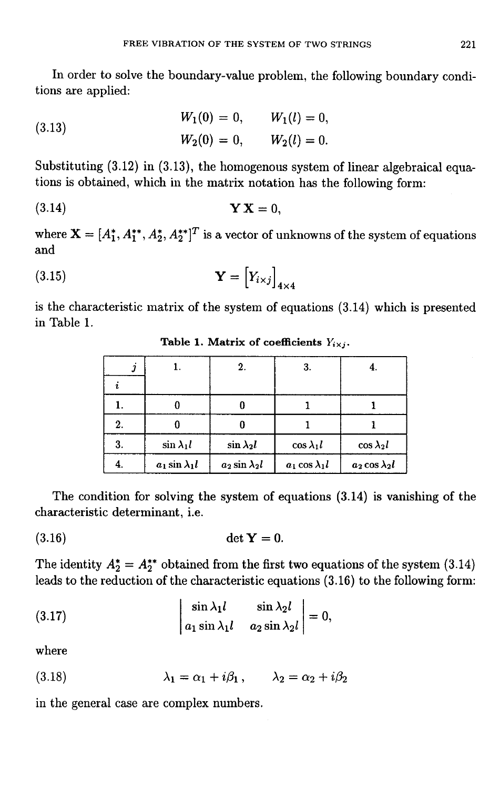In order to solve the boundary-value problem, the following boundary conditions are applied:

(3.13) 
$$
W_1(0) = 0, \qquad W_1(l) = 0,
$$

$$
W_2(0) = 0, \qquad W_2(l) = 0.
$$

Substituting  $(3.12)$  in  $(3.13)$ , the homogenous system of linear algebraical equations is obtained, which in the matrix notation has the following form:

$$
Y X = 0,
$$

where  $\mathbf{X} = [A_1^*, A_1^{**}, A_2^*, A_2^{**}]^T$  is a vector of unknowns of the system of equations  $and$ 

$$
\mathbf{Y} = \begin{bmatrix} Y_{i \times j} \end{bmatrix}_{4 \times 4}
$$

is the characteristic matrix of the system of equations (3.14) which is presented in Table 1.

| Ĵ  |                         | 2.                     | 3.                     | 4.                     |
|----|-------------------------|------------------------|------------------------|------------------------|
|    |                         |                        |                        |                        |
|    |                         |                        |                        |                        |
| 2. |                         |                        |                        |                        |
| 3. | $\sin \lambda_1 l$      | $\sin \lambda_2 l$     | $\cos \lambda_1 l$     | $\cos \lambda_2 l$     |
| 4. | $a_1$ sin $\lambda_1 l$ | $a_2 \sin \lambda_2 l$ | $a_1 \cos \lambda_1 l$ | $a_2 \cos \lambda_2 l$ |

Table 1. Matrix of coefficients  $Y_{i \times j}$ .

The condition for solving the system of equations  $(3.14)$  is vanishing of the characteristic determinant, i.e.

$$
(3.16) \qquad \qquad \det \mathbf{Y} = 0.
$$

The identity  $A_2^* = A_2^{**}$  obtained from the first two equations of the system (3.14) leads to the reduction of the characteristic equations (3.16) to the following form:

(3.17) 
$$
\begin{vmatrix} \sin \lambda_1 l & \sin \lambda_2 l \\ a_1 \sin \lambda_1 l & a_2 \sin \lambda_2 l \end{vmatrix} = 0,
$$

where

(3.18) 
$$
\lambda_1 = \alpha_1 + i\beta_1, \qquad \lambda_2 = \alpha_2 + i\beta_2
$$

in the general case are complex numbers.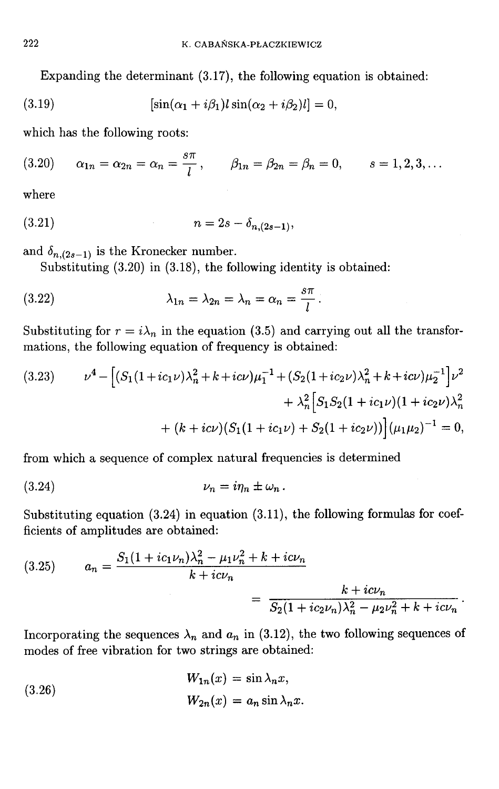Expanding the determinant (3.17), the following equation is obtained:

(3.19) 
$$
[\sin(\alpha_1 + i\beta_1)l\sin(\alpha_2 + i\beta_2)l] = 0,
$$

which has the following roots:

(3.20) 
$$
\alpha_{1n} = \alpha_{2n} = \alpha_n = \frac{s\pi}{l}, \qquad \beta_{1n} = \beta_{2n} = \beta_n = 0, \qquad s = 1, 2, 3, ...
$$

where

$$
(3.21) \t\t n = 2s - \delta_{n,(2s-1)},
$$

and  $\delta_{n,(2s-1)}$  is the Kronecker number.

Substituting  $(3.20)$  in  $(3.18)$ , the following identity is obtained:

(3.22) 
$$
\lambda_{1n} = \lambda_{2n} = \lambda_n = \alpha_n = \frac{s\pi}{l}.
$$

Substituting for  $r = i\lambda_n$  in the equation (3.5) and carrying out all the transformations, the following equation of frequency is obtained:

$$
(3.23) \qquad \nu^4 - \left[ (S_1(1 + ic_1 \nu)\lambda_n^2 + k + ic\nu)\mu_1^{-1} + (S_2(1 + ic_2 \nu)\lambda_n^2 + k + ic\nu)\mu_2^{-1} \right] \nu^2
$$

$$
+ \lambda_n^2 \left[ S_1 S_2 (1 + ic_1 \nu)(1 + ic_2 \nu)\lambda_n^2 + (k + ic\nu)(S_1(1 + ic_1 \nu) + S_2(1 + ic_2 \nu)) \right] (\mu_1 \mu_2)^{-1} = 0,
$$

from which a sequence of complex natural frequencies is determined

$$
(3.24) \t\t\t\nu_n = i\eta_n \pm \omega_n \, .
$$

Substituting equation  $(3.24)$  in equation  $(3.11)$ , the following formulas for coefficients of amplitudes are obtained:

(3.25) 
$$
a_n = \frac{S_1(1 + ic_1 \nu_n)\lambda_n^2 - \mu_1 \nu_n^2 + k + ic \nu_n}{k + ic \nu_n} = \frac{k + ic \nu_n}{S_2(1 + ic_2 \nu_n)\lambda_n^2 - \mu_2 \nu_n^2 + k + ic \nu_n}
$$

Incorporating the sequences  $\lambda_n$  and  $a_n$  in (3.12), the two following sequences of modes of free vibration for two strings are obtained:

(3.26) 
$$
W_{1n}(x) = \sin \lambda_n x,
$$

$$
W_{2n}(x) = a_n \sin \lambda_n x
$$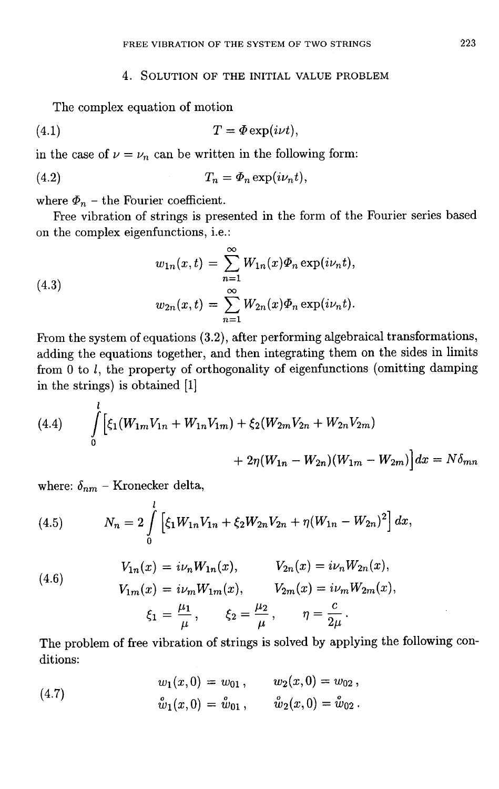### 4. SOLUTION OF THE INITIAL VALUE PROBLEM

The complex equation of motion

$$
(4.1) \t\t T = \Phi \exp(i\nu t),
$$

in the case of  $\nu = \nu_n$  can be written in the following form:

$$
(4.2) \t\t T_n = \Phi_n \exp(i\nu_n t).
$$

where  $\Phi_n$  – the Fourier coefficient.

Free vibration of strings is presented in the form of the Fourier series based on the complex eigenfunctions, i.e.:

(4.3)  

$$
w_{1n}(x,t) = \sum_{n=1}^{\infty} W_{1n}(x)\Phi_n \exp(i\nu_n t),
$$

$$
w_{2n}(x,t) = \sum_{n=1}^{\infty} W_{2n}(x)\Phi_n \exp(i\nu_n t).
$$

From the system of equations (3.2), after performing algebraical transformations, adding the equations together, and then integrating them on the sides in limits from  $0$  to  $l$ , the property of orthogonality of eigenfunctions (omitting damping in the strings) is obtained [1]

(4.4) 
$$
\int_{0}^{l} \left[ \xi_{1}(W_{1m}V_{1n} + W_{1n}V_{1m}) + \xi_{2}(W_{2m}V_{2n} + W_{2n}V_{2m}) + 2\eta(W_{1n} - W_{2n})(W_{1m} - W_{2m}) \right] dx = N\delta_{mn}
$$

where:  $\delta_{nm}$  – Kronecker delta,

(4.5) 
$$
N_n = 2 \int\limits_0^l \left[ \xi_1 W_{1n} V_{1n} + \xi_2 W_{2n} V_{2n} + \eta (W_{1n} - W_{2n})^2 \right] dx,
$$

(4.6) 
$$
V_{1n}(x) = i\nu_n W_{1n}(x), \qquad V_{2n}(x) = i\nu_n W_{2n}(x),
$$

$$
V_{1m}(x) = i\nu_m W_{1m}(x), \qquad V_{2m}(x) = i\nu_m W_{2m}(x),
$$

$$
\xi_1 = \frac{\mu_1}{\mu}, \qquad \xi_2 = \frac{\mu_2}{\mu}, \qquad \eta = \frac{c}{2\mu}.
$$

The problem of free vibration of strings is solved by applying the following conditions:

(4.7) 
$$
w_1(x, 0) = w_{01}, \qquad w_2(x, 0) = w_{02},
$$

$$
\hat{w}_1(x, 0) = \hat{w}_{01}, \qquad \hat{w}_2(x, 0) = \hat{w}_{02}.
$$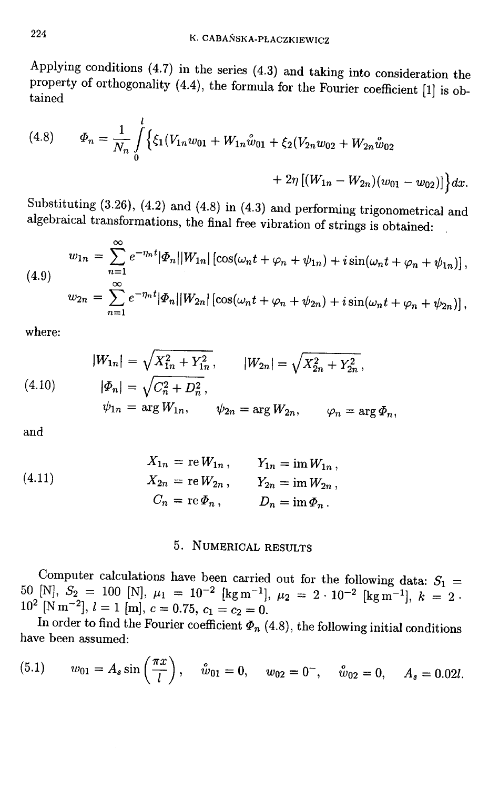Applying conditions  $(4.7)$  in the series  $(4.3)$  and taking into consideration the property of orthogonality  $(4.4)$ , the formula for the Fourier coefficient  $[1]$  is obtained

(4.8) 
$$
\Phi_n = \frac{1}{N_n} \int_0^l \left\{ \xi_1 (V_{1n} w_{01} + W_{1n} \hat{w}_{01} + \xi_2 (V_{2n} w_{02} + W_{2n} \hat{w}_{02} + Z_n) \left[ (W_{1n} - W_{2n}) (w_{01} - w_{02}) \right] \right\} dx.
$$

Substituting  $(3.26)$ ,  $(4.2)$  and  $(4.8)$  in  $(4.3)$  and performing trigonometrical and algebraical transformations, the final free vibration of strings is obtained:

(4.9)  

$$
w_{1n} = \sum_{n=1}^{\infty} e^{-\eta_n t} |\Phi_n| |W_{1n}| \left[ \cos(\omega_n t + \varphi_n + \psi_{1n}) + i \sin(\omega_n t + \varphi_n + \psi_{1n}) \right],
$$

$$
w_{2n} = \sum_{n=1}^{\infty} e^{-\eta_n t} |\Phi_n| |W_{2n}| \left[ \cos(\omega_n t + \varphi_n + \psi_{2n}) + i \sin(\omega_n t + \varphi_n + \psi_{2n}) \right],
$$

where:

(4.10) 
$$
|W_{1n}| = \sqrt{X_{1n}^2 + Y_{1n}^2}, \qquad |W_{2n}| = \sqrt{X_{2n}^2 + Y_{2n}^2},
$$

$$
|\Phi_n| = \sqrt{C_n^2 + D_n^2},
$$

$$
\psi_{1n} = \arg W_{1n}, \qquad \psi_{2n} = \arg W_{2n}, \qquad \varphi_n = \arg \Phi_n,
$$

and

(4.11) 
$$
X_{1n} = \text{re } W_{1n}, \qquad Y_{1n} = \text{im } W_{1n},
$$

$$
X_{2n} = \text{re } W_{2n}, \qquad Y_{2n} = \text{im } W_{2n},
$$

$$
C_n = \text{re } \Phi_n, \qquad D_n = \text{im } \Phi_n.
$$

## 5. NUMERICAL RESULTS

Computer calculations have been carried out for the following data:  $S_1$  = 50 [N],  $S_2 = 100$  [N],  $\mu_1 = 10^{-2}$  [kg m<sup>-1</sup>],  $\mu_2 = 2 \cdot 10^{-2}$  [kg m<sup>-1</sup>],  $k = 2$ .  $10^2$  [N m<sup>-2</sup>],  $l = 1$  [m],  $c = 0.75$ ,  $c_1 = c_2 = 0$ .

In order to find the Fourier coefficient  $\Phi_n$  (4.8), the following initial conditions have been assumed:

(5.1) 
$$
w_{01} = A_s \sin\left(\frac{\pi x}{l}\right), \quad \mathring{w}_{01} = 0, \quad w_{02} = 0^-, \quad \mathring{w}_{02} = 0, \quad A_s = 0.02l.
$$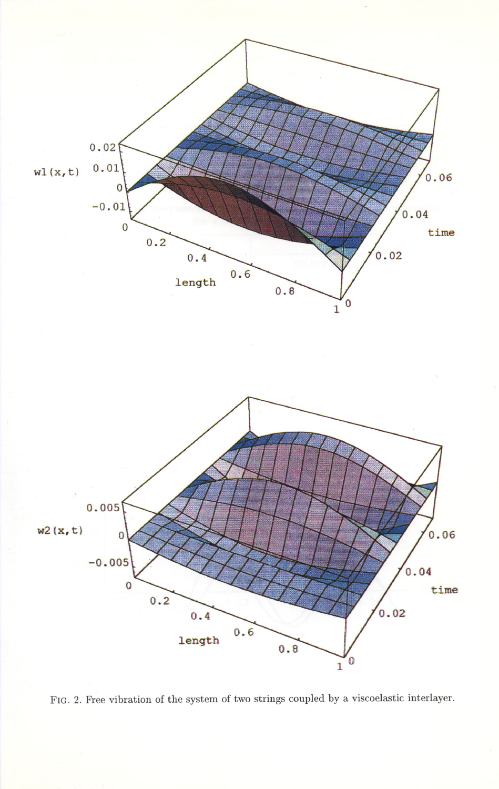

FIG. 2. Free vibration of the system of two strings coupled by a viscoelastic interlayer.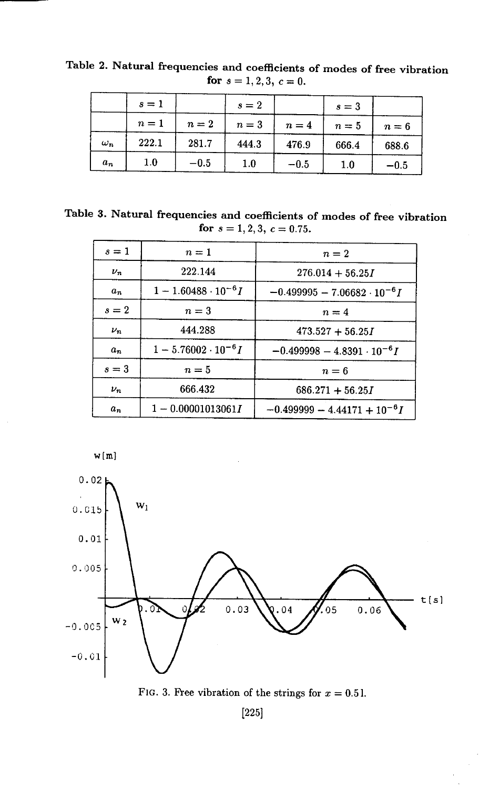|            | $s=1$   |        | $s=2$   |        | $s=3$ |        |
|------------|---------|--------|---------|--------|-------|--------|
|            | $n=1$   | $n=2$  | $n=3$   | $n=4$  | $n=5$ | $n=6$  |
| $\omega_n$ | 222.1   | 281.7  | 444.3   | 476.9  | 666.4 | 688.6  |
| $a_n$      | $1.0\,$ | $-0.5$ | $1.0\,$ | $-0.5$ | 1.0   | $-0.5$ |

Table 2. Natural frequencies and coefficients of modes of free vibration for  $s = 1, 2, 3, c = 0$ .

Table 3. Natural frequencies and coefficients of modes of free vibration for  $s = 1, 2, 3, c = 0.75$ .

| $s=1$   | $n=1$                       | $n=2$                                |  |  |
|---------|-----------------------------|--------------------------------------|--|--|
| $\nu_n$ | 222.144                     | $276.014 + 56.25I$                   |  |  |
| $a_n$   | $1 - 1.60488 \cdot 10^{-6}$ | $-0.499995 - 7.06682 \cdot 10^{-6}$  |  |  |
| $s=2$   | $n=3$                       | $n=4$                                |  |  |
| $\nu_n$ | 444.288                     | $473.527 + 56.25I$                   |  |  |
| $a_n$   | $1-5.76002\cdot 10^{-6}I$   | $-0.499998 - 4.8391 \cdot 10^{-6}$ I |  |  |
| $s=3$   | $n=5$                       | $n=6$                                |  |  |
| $\nu_n$ | 666.432                     | $686.271 + 56.25I$                   |  |  |
| $a_n$   | $1 - 0.00001013061I$        | $-0.499999 - 4.44171 + 10^{-6}$      |  |  |







 $[225]$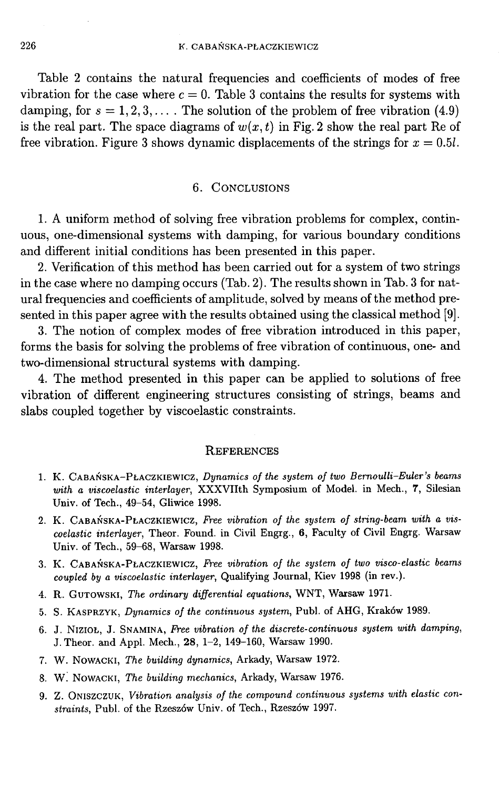Table 2 contains the natural frequencies and coefficients of modes of free vibration for the case where  $c = 0$ . Table 3 contains the results for systems with damping, for  $s = 1, 2, 3, \ldots$ . The solution of the problem of free vibration (4.9) is the real part. The space diagrams of  $w(x, t)$  in Fig. 2 show the real part Re of free vibration. Figure 3 shows dynamic displacements of the strings for  $x = 0.5l$ .

#### 6. CONCLUSIONS

1. A uniform method of solving free vibration problems for complex, continuous, one-dimensional systems with damping, for various boundary conditions and different initial conditions has been presented in this paper.

2. Verification of this method has been carried out for a system of two strings in the case where no damping occurs (Tab. 2). The results shown in Tab. 3 for natural frequencies and coefficients of amplitude, solved by means of the method presented in this paper agree with the results obtained using the classical method [9].

3. The notion of complex modes of free vibration introduced in this paper, forms the basis for solving the problems of free vibration of continuous, one- and two-dimensional structural systems with damping.

4. The method presented in this paper can be applied to solutions of free vibration of different engineering structures consisting of strings, beams and slabs coupled together by viscoelastic constraints.

#### **REFERENCES**

- 1. K. CABAŃSKA-PŁACZKIEWICZ, Dynamics of the system of two Bernoulli-Euler's beams with a viscoelastic interlayer, XXXVIIth Symposium of Model. in Mech., 7, Silesian Univ. of Tech., 49-54, Gliwice 1998.
- 2. K. CABAŃSKA-PŁACZKIEWICZ, Free vibration of the system of string-beam with a viscoelastic interlayer, Theor. Found. in Civil Engrg., 6, Faculty of Civil Engrg. Warsaw Univ. of Tech., 59-68, Warsaw 1998.
- 3. K. CABAŃSKA-PŁACZKIEWICZ, Free vibration of the system of two visco-elastic beams coupled by a viscoelastic interlayer, Qualifying Journal, Kiev 1998 (in rev.).
- 4. R. GUTOWSKI, The ordinary differential equations, WNT, Warsaw 1971.
- 5. S. KASPRZYK, Dynamics of the continuous system, Publ. of AHG, Kraków 1989.
- 6. J. NIZIOŁ, J. SNAMINA, Free vibration of the discrete-continuous system with damping, J. Theor. and Appl. Mech., 28, 1-2, 149-160, Warsaw 1990.
- 7. W. NOWACKI, The building dynamics, Arkady, Warsaw 1972.
- 8. W. NOWACKI, The building mechanics, Arkady, Warsaw 1976.
- 9. Z. ONISZCZUK, Vibration analysis of the compound continuous systems with elastic constraints, Publ. of the Rzeszów Univ. of Tech., Rzeszów 1997.